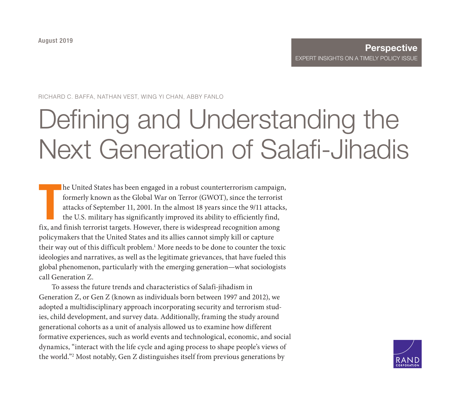RICHARD C. BAFFA, NATHAN VEST, WING YI CHAN, ABBY FANLO

# Defining and Understanding the [Next Generation of Salafi-Jihadis](https://www.rand.org/pubs/perspectives/PE341.html)

The United States has been engaged in a robust counterterrorism campaigs formerly known as the Global War on Terror (GWOT), since the terrorist attacks of September 11, 2001. In the almost 18 years since the 9/11 attack th he United States has been engaged in a robust counterterrorism campaign, formerly known as the Global War on Terror (GWOT), since the terrorist attacks of September 11, 2001. In the almost 18 years since the 9/11 attacks, the U.S. military has significantly improved its ability to efficiently find, policymakers that the United States and its allies cannot simply kill or capture their way out of this difficult problem.<sup>1</sup> More needs to be done to counter the toxic ideologies and narratives, as well as the legitimate grievances, that have fueled this global phenomenon, particularly with the emerging generation—what sociologists call Generation Z.

To assess the future trends and characteristics of Salafi-jihadism in Generation Z, or Gen Z (known as individuals born between 1997 and 2012), we adopted a multidisciplinary approach incorporating security and terrorism studies, child development, and survey data. Additionally, framing the study around generational cohorts as a unit of analysis allowed us to examine how different formative experiences, such as world events and technological, economic, and social dynamics, "interact with the life cycle and aging process to shape people's views of the world."2 Most notably, Gen Z distinguishes itself from previous generations by

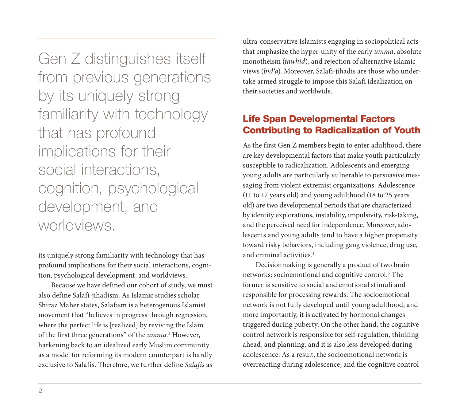Gen Z distinguishes itself from previous generations by its uniquely strong familiarity with technology that has profound implications for their social interactions, cognition, psychological development, and worldviews.

its uniquely strong familiarity with technology that has profound implications for their social interactions, cognition, psychological development, and worldviews.

Because we have defined our cohort of study, we must also define Salafi-jihadism. As Islamic studies scholar Shiraz Maher states, Salafism is a heterogenous Islamist movement that "believes in progress through regression, where the perfect life is [realized] by reviving the Islam of the first three generations" of the *umma.*<sup>3</sup> However, harkening back to an idealized early Muslim community as a model for reforming its modern counterpart is hardly exclusive to Salafis. Therefore, we further define *Salafis* as ultra-conservative Islamists engaging in sociopolitical acts that emphasize the hyper-unity of the early *umma*, absolute monotheism (*tawhid*), and rejection of alternative Islamic views (*bid'a*). Moreover, Salafi-jihadis are those who undertake armed struggle to impose this Salafi idealization on their societies and worldwide.

### Life Span Developmental Factors Contributing to Radicalization of Youth

As the first Gen Z members begin to enter adulthood, there are key developmental factors that make youth particularly susceptible to radicalization. Adolescents and emerging young adults are particularly vulnerable to persuasive messaging from violent extremist organizations. Adolescence (11 to 17 years old) and young adulthood (18 to 25 years old) are two developmental periods that are characterized by identity explorations, instability, impulsivity, risk-taking, and the perceived need for independence. Moreover, adolescents and young adults tend to have a higher propensity toward risky behaviors, including gang violence, drug use, and criminal activities.4

Decisionmaking is generally a product of two brain networks: socioemotional and cognitive control.<sup>5</sup> The former is sensitive to social and emotional stimuli and responsible for processing rewards. The socioemotional network is not fully developed until young adulthood, and more importantly, it is activated by hormonal changes triggered during puberty. On the other hand, the cognitive control network is responsible for self-regulation, thinking ahead, and planning, and it is also less developed during adolescence. As a result, the socioemotional network is overreacting during adolescence, and the cognitive control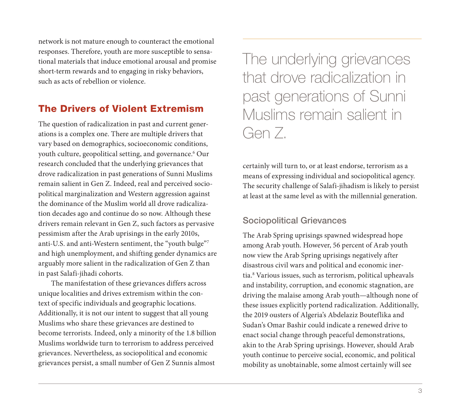network is not mature enough to counteract the emotional responses. Therefore, youth are more susceptible to sensational materials that induce emotional arousal and promise short-term rewards and to engaging in risky behaviors, such as acts of rebellion or violence.

### The Drivers of Violent Extremism

The question of radicalization in past and current generations is a complex one. There are multiple drivers that vary based on demographics, socioeconomic conditions, youth culture, geopolitical setting, and governance.6 Our research concluded that the underlying grievances that drove radicalization in past generations of Sunni Muslims remain salient in Gen Z. Indeed, real and perceived sociopolitical marginalization and Western aggression against the dominance of the Muslim world all drove radicalization decades ago and continue do so now. Although these drivers remain relevant in Gen Z, such factors as pervasive pessimism after the Arab uprisings in the early 2010s, anti-U.S. and anti-Western sentiment, the "youth bulge"7 and high unemployment, and shifting gender dynamics are arguably more salient in the radicalization of Gen Z than in past Salafi-jihadi cohorts.

The manifestation of these grievances differs across unique localities and drives extremism within the context of specific individuals and geographic locations. Additionally, it is not our intent to suggest that all young Muslims who share these grievances are destined to become terrorists. Indeed, only a minority of the 1.8 billion Muslims worldwide turn to terrorism to address perceived grievances. Nevertheless, as sociopolitical and economic grievances persist, a small number of Gen Z Sunnis almost

The underlying grievances that drove radicalization in past generations of Sunni Muslims remain salient in Gen Z.

certainly will turn to, or at least endorse, terrorism as a means of expressing individual and sociopolitical agency. The security challenge of Salafi-jihadism is likely to persist at least at the same level as with the millennial generation.

#### Sociopolitical Grievances

The Arab Spring uprisings spawned widespread hope among Arab youth. However, 56 percent of Arab youth now view the Arab Spring uprisings negatively after disastrous civil wars and political and economic inertia.8 Various issues, such as terrorism, political upheavals and instability, corruption, and economic stagnation, are driving the malaise among Arab youth—although none of these issues explicitly portend radicalization. Additionally, the 2019 ousters of Algeria's Abdelaziz Bouteflika and Sudan's Omar Bashir could indicate a renewed drive to enact social change through peaceful demonstrations, akin to the Arab Spring uprisings. However, should Arab youth continue to perceive social, economic, and political mobility as unobtainable, some almost certainly will see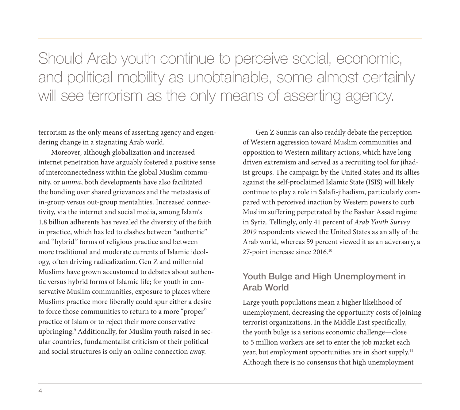Should Arab youth continue to perceive social, economic, and political mobility as unobtainable, some almost certainly will see terrorism as the only means of asserting agency.

terrorism as the only means of asserting agency and engendering change in a stagnating Arab world.

Moreover, although globalization and increased internet penetration have arguably fostered a positive sense of interconnectedness within the global Muslim community, or *umma*, both developments have also facilitated the bonding over shared grievances and the metastasis of in-group versus out-group mentalities. Increased connectivity, via the internet and social media, among Islam's 1.8 billion adherents has revealed the diversity of the faith in practice, which has led to clashes between "authentic" and "hybrid" forms of religious practice and between more traditional and moderate currents of Islamic ideology, often driving radicalization. Gen Z and millennial Muslims have grown accustomed to debates about authentic versus hybrid forms of Islamic life; for youth in conservative Muslim communities, exposure to places where Muslims practice more liberally could spur either a desire to force those communities to return to a more "proper" practice of Islam or to reject their more conservative upbringing.9 Additionally, for Muslim youth raised in secular countries, fundamentalist criticism of their political and social structures is only an online connection away.

Gen Z Sunnis can also readily debate the perception of Western aggression toward Muslim communities and opposition to Western military actions, which have long driven extremism and served as a recruiting tool for jihadist groups. The campaign by the United States and its allies against the self-proclaimed Islamic State (ISIS) will likely continue to play a role in Salafi-jihadism, particularly compared with perceived inaction by Western powers to curb Muslim suffering perpetrated by the Bashar Assad regime in Syria. Tellingly, only 41 percent of *Arab Youth Survey 2019* respondents viewed the United States as an ally of the Arab world, whereas 59 percent viewed it as an adversary, a 27-point increase since 2016.10

#### Youth Bulge and High Unemployment in Arab World

Large youth populations mean a higher likelihood of unemployment, decreasing the opportunity costs of joining terrorist organizations. In the Middle East specifically, the youth bulge is a serious economic challenge—close to 5 million workers are set to enter the job market each year, but employment opportunities are in short supply.11 Although there is no consensus that high unemployment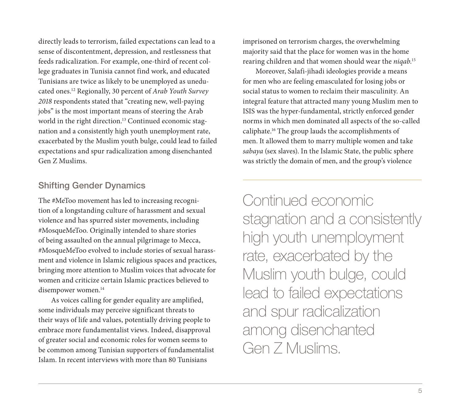directly leads to terrorism, failed expectations can lead to a sense of discontentment, depression, and restlessness that feeds radicalization. For example, one-third of recent college graduates in Tunisia cannot find work, and educated Tunisians are twice as likely to be unemployed as uneducated ones.12 Regionally, 30 percent of *Arab Youth Survey 2018* respondents stated that "creating new, well-paying jobs" is the most important means of steering the Arab world in the right direction.<sup>13</sup> Continued economic stagnation and a consistently high youth unemployment rate, exacerbated by the Muslim youth bulge, could lead to failed expectations and spur radicalization among disenchanted Gen Z Muslims.

#### Shifting Gender Dynamics

The #MeToo movement has led to increasing recognition of a longstanding culture of harassment and sexual violence and has spurred sister movements, including #MosqueMeToo. Originally intended to share stories of being assaulted on the annual pilgrimage to Mecca, #MosqueMeToo evolved to include stories of sexual harassment and violence in Islamic religious spaces and practices, bringing more attention to Muslim voices that advocate for women and criticize certain Islamic practices believed to disempower women.<sup>14</sup>

As voices calling for gender equality are amplified, some individuals may perceive significant threats to their ways of life and values, potentially driving people to embrace more fundamentalist views. Indeed, disapproval of greater social and economic roles for women seems to be common among Tunisian supporters of fundamentalist Islam. In recent interviews with more than 80 Tunisians

imprisoned on terrorism charges, the overwhelming majority said that the place for women was in the home rearing children and that women should wear the *niqab*. 15

Moreover, Salafi-jihadi ideologies provide a means for men who are feeling emasculated for losing jobs or social status to women to reclaim their masculinity. An integral feature that attracted many young Muslim men to ISIS was the hyper-fundamental, strictly enforced gender norms in which men dominated all aspects of the so-called caliphate.16 The group lauds the accomplishments of men. It allowed them to marry multiple women and take *sabaya* (sex slaves). In the Islamic State, the public sphere was strictly the domain of men, and the group's violence

Continued economic stagnation and a consistently high youth unemployment rate, exacerbated by the Muslim youth bulge, could lead to failed expectations and spur radicalization among disenchanted Gen Z Muslims.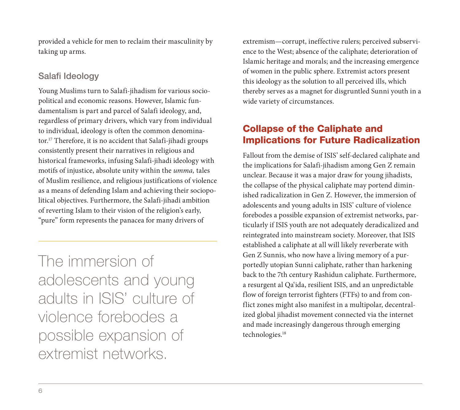provided a vehicle for men to reclaim their masculinity by taking up arms.

### Salafi Ideology

Young Muslims turn to Salafi-jihadism for various sociopolitical and economic reasons. However, Islamic fundamentalism is part and parcel of Salafi ideology, and, regardless of primary drivers, which vary from individual to individual, ideology is often the common denominator.17 Therefore, it is no accident that Salafi-jihadi groups consistently present their narratives in religious and historical frameworks, infusing Salafi-jihadi ideology with motifs of injustice, absolute unity within the *umma,* tales of Muslim resilience, and religious justifications of violence as a means of defending Islam and achieving their sociopolitical objectives. Furthermore, the Salafi-jihadi ambition of reverting Islam to their vision of the religion's early, "pure" form represents the panacea for many drivers of

The immersion of adolescents and young adults in ISIS' culture of violence forebodes a possible expansion of extremist networks.

extremism—corrupt, ineffective rulers; perceived subservience to the West; absence of the caliphate; deterioration of Islamic heritage and morals; and the increasing emergence of women in the public sphere. Extremist actors present this ideology as the solution to all perceived ills, which thereby serves as a magnet for disgruntled Sunni youth in a wide variety of circumstances.

## Collapse of the Caliphate and Implications for Future Radicalization

Fallout from the demise of ISIS' self-declared caliphate and the implications for Salafi-jihadism among Gen Z remain unclear. Because it was a major draw for young jihadists, the collapse of the physical caliphate may portend diminished radicalization in Gen Z. However, the immersion of adolescents and young adults in ISIS' culture of violence forebodes a possible expansion of extremist networks, particularly if ISIS youth are not adequately deradicalized and reintegrated into mainstream society. Moreover, that ISIS established a caliphate at all will likely reverberate with Gen Z Sunnis, who now have a living memory of a purportedly utopian Sunni caliphate, rather than harkening back to the 7th century Rashidun caliphate. Furthermore, a resurgent al Qa'ida, resilient ISIS, and an unpredictable flow of foreign terrorist fighters (FTFs) to and from conflict zones might also manifest in a multipolar, decentralized global jihadist movement connected via the internet and made increasingly dangerous through emerging technologies.<sup>18</sup>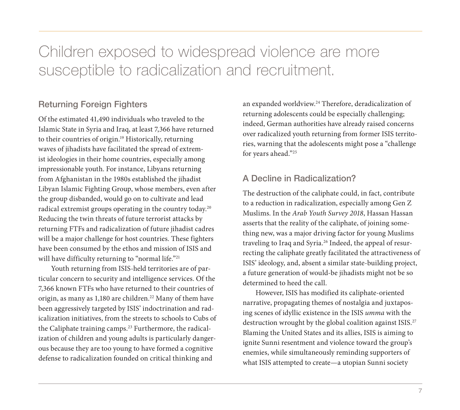## Children exposed to widespread violence are more susceptible to radicalization and recruitment.

#### Returning Foreign Fighters

Of the estimated 41,490 individuals who traveled to the Islamic State in Syria and Iraq, at least 7,366 have returned to their countries of origin.<sup>19</sup> Historically, returning waves of jihadists have facilitated the spread of extremist ideologies in their home countries, especially among impressionable youth. For instance, Libyans returning from Afghanistan in the 1980s established the jihadist Libyan Islamic Fighting Group, whose members, even after the group disbanded, would go on to cultivate and lead radical extremist groups operating in the country today.20 Reducing the twin threats of future terrorist attacks by returning FTFs and radicalization of future jihadist cadres will be a major challenge for host countries. These fighters have been consumed by the ethos and mission of ISIS and will have difficulty returning to "normal life."<sup>21</sup>

Youth returning from ISIS-held territories are of particular concern to security and intelligence services. Of the 7,366 known FTFs who have returned to their countries of origin, as many as 1,180 are children.<sup>22</sup> Many of them have been aggressively targeted by ISIS' indoctrination and radicalization initiatives, from the streets to schools to Cubs of the Caliphate training camps.<sup>23</sup> Furthermore, the radicalization of children and young adults is particularly dangerous because they are too young to have formed a cognitive defense to radicalization founded on critical thinking and

an expanded worldview.24 Therefore, deradicalization of returning adolescents could be especially challenging; indeed, German authorities have already raised concerns over radicalized youth returning from former ISIS territories, warning that the adolescents might pose a "challenge for years ahead."25

#### A Decline in Radicalization?

The destruction of the caliphate could, in fact, contribute to a reduction in radicalization, especially among Gen Z Muslims. In the *Arab Youth Survey 2018*, Hassan Hassan asserts that the reality of the caliphate, of joining something new, was a major driving factor for young Muslims traveling to Iraq and Syria.<sup>26</sup> Indeed, the appeal of resurrecting the caliphate greatly facilitated the attractiveness of ISIS' ideology, and, absent a similar state-building project, a future generation of would-be jihadists might not be so determined to heed the call.

However, ISIS has modified its caliphate-oriented narrative, propagating themes of nostalgia and juxtaposing scenes of idyllic existence in the ISIS *umma* with the destruction wrought by the global coalition against ISIS.<sup>27</sup> Blaming the United States and its allies, ISIS is aiming to ignite Sunni resentment and violence toward the group's enemies, while simultaneously reminding supporters of what ISIS attempted to create—a utopian Sunni society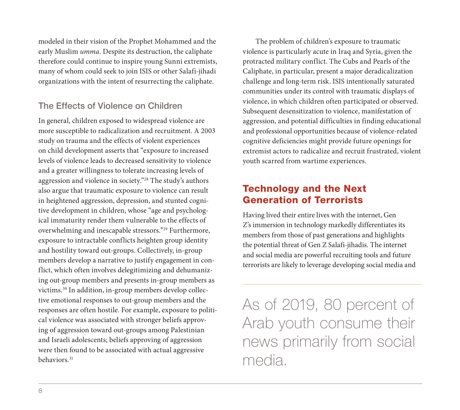modeled in their vision of the Prophet Mohammed and the early Muslim *umma*. Despite its destruction, the caliphate therefore could continue to inspire young Sunni extremists, many of whom could seek to join ISIS or other Salafi-jihadi organizations with the intent of resurrecting the caliphate.

## The Effects of Violence on Children

In general, children exposed to widespread violence are more susceptible to radicalization and recruitment. A 2003 study on trauma and the effects of violent experiences on child development asserts that "exposure to increased levels of violence leads to decreased sensitivity to violence and a greater willingness to tolerate increasing levels of aggression and violence in society."28 The study's authors also argue that traumatic exposure to violence can result in heightened aggression, depression, and stunted cognitive development in children, whose "age and psychological immaturity render them vulnerable to the effects of overwhelming and inescapable stressors."29 Furthermore, exposure to intractable conflicts heighten group identity and hostility toward out-groups. Collectively, in-group members develop a narrative to justify engagement in conflict, which often involves delegitimizing and dehumanizing out-group members and presents in-group members as victims.30 In addition, in-group members develop collective emotional responses to out-group members and the responses are often hostile. For example, exposure to political violence was associated with stronger beliefs approving of aggression toward out-groups among Palestinian and Israeli adolescents; beliefs approving of aggression were then found to be associated with actual aggressive behaviors.31

The problem of children's exposure to traumatic violence is particularly acute in Iraq and Syria, given the protracted military conflict. The Cubs and Pearls of the Caliphate, in particular, present a major deradicalization challenge and long-term risk. ISIS intentionally saturated communities under its control with traumatic displays of violence, in which children often participated or observed. Subsequent desensitization to violence, manifestation of aggression, and potential difficulties in finding educational and professional opportunities because of violence-related cognitive deficiencies might provide future openings for extremist actors to radicalize and recruit frustrated, violent youth scarred from wartime experiences.

### Technology and the Next Generation of Terrorists

Having lived their entire lives with the internet, Gen Z's immersion in technology markedly differentiates its members from those of past generations and highlights the potential threat of Gen Z Salafi-jihadis. The internet and social media are powerful recruiting tools and future terrorists are likely to leverage developing social media and

As of 2019, 80 percent of Arab youth consume their news primarily from social media.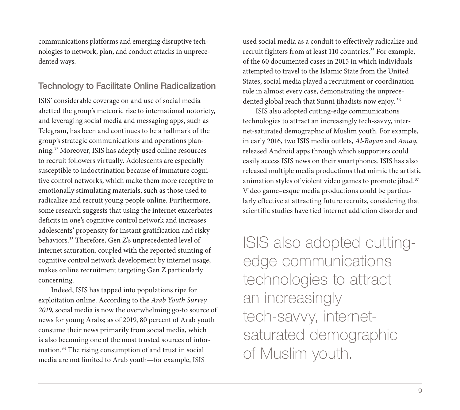communications platforms and emerging disruptive technologies to network, plan, and conduct attacks in unprecedented ways.

#### Technology to Facilitate Online Radicalization

ISIS' considerable coverage on and use of social media abetted the group's meteoric rise to international notoriety, and leveraging social media and messaging apps, such as Telegram, has been and continues to be a hallmark of the group's strategic communications and operations planning.32 Moreover, ISIS has adeptly used online resources to recruit followers virtually. Adolescents are especially susceptible to indoctrination because of immature cognitive control networks, which make them more receptive to emotionally stimulating materials, such as those used to radicalize and recruit young people online. Furthermore, some research suggests that using the internet exacerbates deficits in one's cognitive control network and increases adolescents' propensity for instant gratification and risky behaviors.33 Therefore, Gen Z's unprecedented level of internet saturation, coupled with the reported stunting of cognitive control network development by internet usage, makes online recruitment targeting Gen Z particularly concerning.

Indeed, ISIS has tapped into populations ripe for exploitation online. According to the *Arab Youth Survey 2019*, social media is now the overwhelming go-to source of news for young Arabs; as of 2019, 80 percent of Arab youth consume their news primarily from social media, which is also becoming one of the most trusted sources of information.34 The rising consumption of and trust in social media are not limited to Arab youth—for example, ISIS

used social media as a conduit to effectively radicalize and recruit fighters from at least 110 countries.<sup>35</sup> For example, of the 60 documented cases in 2015 in which individuals attempted to travel to the Islamic State from the United States, social media played a recruitment or coordination role in almost every case, demonstrating the unprecedented global reach that Sunni jihadists now enjoy. <sup>36</sup>

ISIS also adopted cutting-edge communications technologies to attract an increasingly tech-savvy, internet-saturated demographic of Muslim youth. For example, in early 2016, two ISIS media outlets, *Al-Bayan* and *Amaq*, released Android apps through which supporters could easily access ISIS news on their smartphones. ISIS has also released multiple media productions that mimic the artistic animation styles of violent video games to promote jihad.<sup>37</sup> Video game–esque media productions could be particularly effective at attracting future recruits, considering that scientific studies have tied internet addiction disorder and

ISIS also adopted cuttingedge communications technologies to attract an increasingly tech-savvy, internetsaturated demographic of Muslim youth.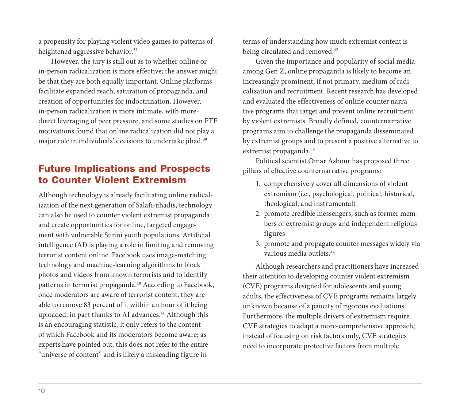a propensity for playing violent video games to patterns of heightened aggressive behavior.<sup>38</sup>

However, the jury is still out as to whether online or in-person radicalization is more effective; the answer might be that they are both equally important. Online platforms facilitate expanded reach, saturation of propaganda, and creation of opportunities for indoctrination. However, in-person radicalization is more intimate, with moredirect leveraging of peer pressure, and some studies on FTF motivations found that online radicalization did not play a major role in individuals' decisions to undertake jihad.<sup>39</sup>

## Future Implications and Prospects to Counter Violent Extremism

Although technology is already facilitating online radicalization of the next generation of Salafi-jihadis, technology can also be used to counter violent extremist propaganda and create opportunities for online, targeted engagement with vulnerable Sunni youth populations. Artificial intelligence (AI) is playing a role in limiting and removing terrorist content online. Facebook uses image-matching technology and machine-learning algorithms to block photos and videos from known terrorists and to identify patterns in terrorist propaganda.40 According to Facebook, once moderators are aware of terrorist content, they are able to remove 83 percent of it within an hour of it being uploaded, in part thanks to AI advances.<sup>41</sup> Although this is an encouraging statistic, it only refers to the content of which Facebook and its moderators become aware; as experts have pointed out, this does not refer to the entire "universe of content" and is likely a misleading figure in

terms of understanding how much extremist content is being circulated and removed.<sup>42</sup>

Given the importance and popularity of social media among Gen Z, online propaganda is likely to become an increasingly prominent, if not primary, medium of radicalization and recruitment. Recent research has developed and evaluated the effectiveness of online counter narrative programs that target and prevent online recruitment by violent extremists. Broadly defined, counternarrative programs aim to challenge the propaganda disseminated by extremist groups and to present a positive alternative to extremist propaganda.<sup>43</sup>

Political scientist Omar Ashour has proposed three pillars of effective counternarrative programs:

- 1. comprehensively cover all dimensions of violent extremism (i.e., psychological, political, historical, theological, and instrumental)
- 2. promote credible messengers, such as former members of extremist groups and independent religious figures
- 3. promote and propagate counter messages widely via various media outlets.44

Although researchers and practitioners have increased their attention to developing counter violent extremism (CVE) programs designed for adolescents and young adults, the effectiveness of CVE programs remains largely unknown because of a paucity of rigorous evaluations. Furthermore, the multiple drivers of extremism require CVE strategies to adapt a more-comprehensive approach; instead of focusing on risk factors only, CVE strategies need to incorporate protective factors from multiple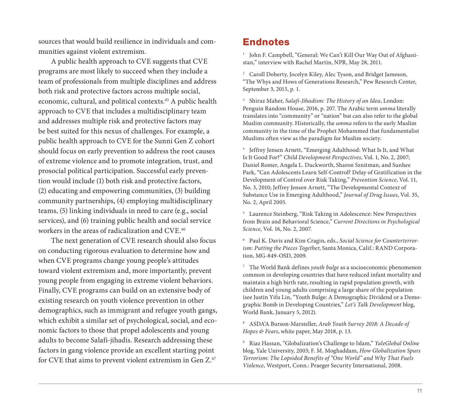sources that would build resilience in individuals and communities against violent extremism.

A public health approach to CVE suggests that CVE programs are most likely to succeed when they include a team of professionals from multiple disciplines and address both risk and protective factors across multiple social, economic, cultural, and political contexts.45 A public health approach to CVE that includes a multidisciplinary team and addresses multiple risk and protective factors may be best suited for this nexus of challenges. For example, a public health approach to CVE for the Sunni Gen Z cohort should focus on early prevention to address the root causes of extreme violence and to promote integration, trust, and prosocial political participation. Successful early prevention would include (1) both risk and protective factors, (2) educating and empowering communities, (3) building community partnerships, (4) employing multidisciplinary teams, (5) linking individuals in need to care (e.g., social services), and (6) training public health and social service workers in the areas of radicalization and CVE.46

The next generation of CVE research should also focus on conducting rigorous evaluation to determine how and when CVE programs change young people's attitudes toward violent extremism and, more importantly, prevent young people from engaging in extreme violent behaviors. Finally, CVE programs can build on an extensive body of existing research on youth violence prevention in other demographics, such as immigrant and refugee youth gangs, which exhibit a similar set of psychological, social, and economic factors to those that propel adolescents and young adults to become Salafi-jihadis. Research addressing these factors in gang violence provide an excellent starting point for CVE that aims to prevent violent extremism in Gen Z.<sup>47</sup>

#### Endnotes

<sup>1</sup> John F. Campbell, "General: We Can't Kill Our Way Out of Afghanistan," interview with Rachel Martin, NPR, May 28, 2011.

<sup>2</sup> Caroll Doherty, Jocelyn Kiley, Alec Tyson, and Bridget Jameson, "The Whys and Hows of Generations Research," Pew Research Center, September 3, 2015, p. 1.

<sup>3</sup> Shiraz Maher, *Salafi-Jihadism: The History of an Idea*, London: Penguin Random House, 2016, p. 207. The Arabic term *umma* literally translates into "community" or "nation" but can also refer to the global Muslim community. Historically, the *umma* refers to the early Muslim community in the time of the Prophet Mohammed that fundamentalist Muslims often view as the paradigm for Muslim society.

<sup>4</sup> Jeffrey Jensen Arnett, "Emerging Adulthood: What Is It, and What Is It Good For?" *Child Development Perspectives*, Vol. 1, No. 2, 2007; Daniel Romer, Angela L. Duckworth, Sharon Sznitman, and Sunhee Park, "Can Adolescents Learn Self-Control? Delay of Gratification in the Development of Control over Risk Taking," *Prevention Science*, Vol. 11, No. 3, 2010; Jeffrey Jensen Arnett, "The Developmental Context of Substance Use in Emerging Adulthood," *Journal of Drug Issues*, Vol. 35, No. 2, April 2005.

<sup>5</sup> Laurence Steinberg, "Risk Taking in Adolescence: New Perspectives from Brain and Behavioral Science," *Current Directions in Psychological Science*, Vol. 16, No. 2, 2007.

<sup>6</sup> Paul K. Davis and Kim Cragin, eds., *Social Science for Counterterrorism: Putting the Pieces Together*, Santa Monica, Calif.: RAND Corporation, MG-849-OSD, 2009.

<sup>7</sup> The World Bank defines *youth bulge* as a socioeconomic phenomenon common in developing countries that have reduced infant mortality and maintain a high birth rate, resulting in rapid population growth, with children and young adults comprising a large share of the population (see Justin Yifu Lin, "Youth Bulge: A Demographic Dividend or a Demographic Bomb in Developing Countries," *Let's Talk Development* blog, World Bank, January 5, 2012).

<sup>8</sup> ASDA'A Burson-Marsteller, *Arab Youth Survey 2018: A Decade of Hopes & Fears*, white paper, May 2018, p. 13.

<sup>9</sup> Riaz Hassan, "Globalization's Challenge to Islam," *YaleGlobal Online* blog, Yale University, 2003; F. M. Moghaddam, *How Globalization Spurs Terrorism: The Lopsided Benefits of "One World" and Why That Fuels Violence*, Westport, Conn.: Praeger Security International, 2008.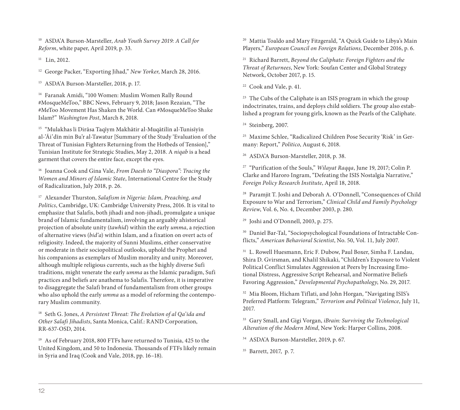<sup>10</sup> ASDA'A Burson-Marsteller, *Arab Youth Survey 2019: A Call for Reform*, white paper, April 2019, p. 33.

 $11$  Lin, 2012.

<sup>12</sup> George Packer, "Exporting Jihad," *New Yorker*, March 28, 2016.

<sup>13</sup> ASDA'A Burson-Marsteller, 2018, p. 17.

<sup>14</sup> Faranak Amidi, "100 Women: Muslim Women Rally Round #MosqueMeToo," BBC News, February 9, 2018; Jason Rezaian, "The #MeToo Movement Has Shaken the World. Can #MosqueMeToo Shake Islam?" *Washington Post*, March 8, 2018.

<sup>15</sup> "Mulakhas li Dirāsa Taqīym Makhātir al-Muqātilīn al-Tunisīyīn al-'Āi'dīn min Bu'r al-Tawatur [Summary of the Study 'Evaluation of the Threat of Tunisian Fighters Returning from the Hotbeds of Tension]," Tunisian Institute for Strategic Studies, May 2, 2018. A *niqab* is a head garment that covers the entire face, except the eyes.

<sup>16</sup> Joanna Cook and Gina Vale, *From Daesh to "Diaspora": Tracing the Women and Minors of Islamic State*, International Centre for the Study of Radicalization, July 2018, p. 26.

<sup>17</sup> Alexander Thurston, *Salafism in Nigeria: Islam, Preaching, and Politics*, Cambridge, UK: Cambridge University Press, 2016. It is vital to emphasize that Salafis, both jihadi and non-jihadi, promulgate a unique brand of Islamic fundamentalism, involving an arguably ahistorical projection of absolute unity (*tawhid*) within the early *umma*, a rejection of alternative views (*bid'a*) within Islam, and a fixation on overt acts of religiosity. Indeed, the majority of Sunni Muslims, either conservative or moderate in their sociopolitical outlooks, uphold the Prophet and his companions as exemplars of Muslim morality and unity. Moreover, although multiple religious currents, such as the highly diverse Sufi traditions, might venerate the early *umma* as the Islamic paradigm, Sufi practices and beliefs are anathema to Salafis. Therefore, it is imperative to disaggregate the Salafi brand of fundamentalism from other groups who also uphold the early *umma* as a model of reforming the contemporary Muslim community.

<sup>18</sup> Seth G. Jones, *A Persistent Threat: The Evolution of al Qa'ida and Other Salafi Jihadists*, Santa Monica, Calif.: RAND Corporation, RR-637-OSD, 2014.

<sup>19</sup> As of February 2018, 800 FTFs have returned to Tunisia, 425 to the United Kingdom, and 50 to Indonesia. Thousands of FTFs likely remain in Syria and Iraq (Cook and Vale, 2018, pp. 16–18).

<sup>20</sup> Mattia Toaldo and Mary Fitzgerald, "A Quick Guide to Libya's Main Players," *European Council on Foreign Relations*, December 2016, p. 6.

<sup>21</sup> Richard Barrett, *Beyond the Caliphate: Foreign Fighters and the Threat of Returnees*, New York: Soufan Center and Global Strategy Network, October 2017, p. 15.

<sup>22</sup> Cook and Vale, p. 41.

<sup>23</sup> The Cubs of the Caliphate is an ISIS program in which the group indoctrinates, trains, and deploys child soldiers. The group also established a program for young girls, known as the Pearls of the Caliphate.

<sup>24</sup> Steinberg, 2007.

<sup>25</sup> Maxime Schlee, "Radicalized Children Pose Security 'Risk' in Germany: Report," *Politico*, August 6, 2018.

<sup>26</sup> ASDA'A Burson-Marsteller, 2018, p. 38.

<sup>27</sup> "Purification of the Souls," *Wilayat Raqqa*, June 19, 2017; Colin P. Clarke and Haroro Ingram, "Defeating the ISIS Nostalgia Narrative," *Foreign Policy Research Institute*, April 18, 2018.

<sup>28</sup> Paramjit T. Joshi and Deborah A. O'Donnell, "Consequences of Child Exposure to War and Terrorism," *Clinical Child and Family Psychology Review*, Vol. 6, No. 4, December 2003, p. 280.

<sup>29</sup> Joshi and O'Donnell, 2003, p. 275.

<sup>30</sup> Daniel Bar-Tal, "Sociopsychological Foundations of Intractable Conflicts," *American Behavioral Scientist*, No. 50, Vol. 11, July 2007.

<sup>31</sup> L. Rowell Huesmann, Eric F. Dubow, Paul Boxer, Simha F. Landau, Shira D. Gvirsman, and Khalil Shikaki, "Children's Exposure to Violent Political Conflict Simulates Aggression at Peers by Increasing Emotional Distress, Aggressive Script Rehearsal, and Normative Beliefs Favoring Aggression," *Developmental Psychopathology*, No. 29, 2017.

<sup>32</sup> Mia Bloom, Hicham Tiflati, and John Horgan, "Navigating ISIS's Preferred Platform: Telegram," *Terrorism and Political Violence*, July 11, 2017.

<sup>33</sup> Gary Small, and Gigi Vorgan, *iBrain: Surviving the Technological Alteration of the Modern Mind*, New York: Harper Collins, 2008.

<sup>34</sup> ASDA'A Burson-Marsteller, 2019, p. 67.

<sup>35</sup> Barrett, 2017, p. 7.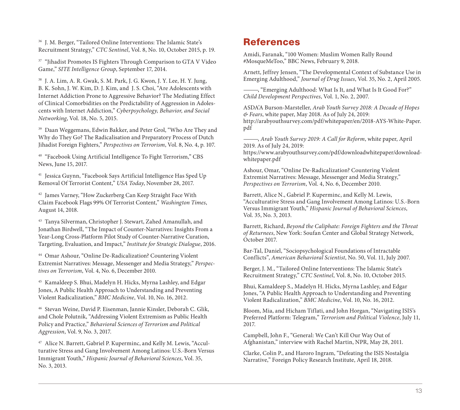<sup>36</sup> J. M. Berger, "Tailored Online Interventions: The Islamic State's Recruitment Strategy," *CTC Sentinel*, Vol. 8, No. 10, October 2015, p. 19.

<sup>37</sup> "Jihadist Promotes IS Fighters Through Comparison to GTA V Video Game," *SITE Intelligence Group*, September 17, 2014.

<sup>38</sup> J. A. Lim, A. R. Gwak, S. M. Park, J. G. Kwon, J. Y. Lee, H. Y. Jung, B. K. Sohn, J. W. Kim, D. J. Kim, and J. S. Choi, "Are Adolescents with Internet Addiction Prone to Aggressive Behavior? The Mediating Effect of Clinical Comorbidities on the Predictability of Aggression in Adolescents with Internet Addiction," *Cyberpsychology, Behavior, and Social Networking*, Vol. 18, No. 5, 2015.

<sup>39</sup> Daan Weggemans, Edwin Bakker, and Peter Grol, "Who Are They and Why do They Go? The Radicalisation and Preparatory Process of Dutch Jihadist Foreign Fighters," *Perspectives on Terrorism*, Vol. 8, No. 4, p. 107.

<sup>40</sup> "Facebook Using Artificial Intelligence To Fight Terrorism," CBS News, June 15, 2017.

<sup>41</sup> Jessica Guynn, "Facebook Says Artificial Intelligence Has Sped Up Removal Of Terrorist Content," *USA Today*, November 28, 2017.

<sup>42</sup> James Varney, "How Zuckerberg Can Keep Straight Face With Claim Facebook Flags 99% Of Terrorist Content," *Washington Times*, August 14, 2018.

<sup>43</sup> Tanya Silverman, Christopher J. Stewart, Zahed Amanullah, and Jonathan Birdwell, "The Impact of Counter-Narratives: Insights From a Year-Long Cross-Platform Pilot Study of Counter-Narrative Curation, Targeting, Evaluation, and Impact," *Institute for Strategic Dialogue*, 2016.

<sup>44</sup> Omar Ashour, "Online De-Radicalization? Countering Violent Extremist Narratives: Message, Messenger and Media Strategy," *Perspectives on Terrorism*, Vol. 4, No. 6, December 2010.

<sup>45</sup> Kamaldeep S. Bhui, Madelyn H. Hicks, Myrna Lashley, and Edgar Jones, A Public Health Approach to Understanding and Preventing Violent Radicalization," *BMC Medicine*, Vol. 10, No. 16, 2012.

<sup>46</sup> Stevan Weine, David P. Eisenman, Jannie Kinsler, Deborah C. Glik, and Chole Polutnik, "Addressing Violent Extremism as Public Health Policy and Practice," *Behavioral Sciences of Terrorism and Political Aggression*, Vol. 9, No. 3, 2017.

<sup>47</sup> Alice N. Barrett, Gabriel P. Kuperminc, and Kelly M. Lewis, "Acculturative Stress and Gang Involvement Among Latinos: U.S.-Born Versus Immigrant Youth," *Hispanic Journal of Behavioral Sciences*, Vol. 35, No. 3, 2013.

#### **References**

Amidi, Faranak, "100 Women: Muslim Women Rally Round #MosqueMeToo," BBC News, February 9, 2018.

Arnett, Jeffrey Jensen, "The Developmental Context of Substance Use in Emerging Adulthood," *Journal of Drug Issues*, Vol. 35, No. 2, April 2005.

———, "Emerging Adulthood: What Is It, and What Is It Good For?" *Child Development Perspectives*, Vol. 1, No. 2, 2007.

ASDA'A Burson-Marsteller, *Arab Youth Survey 2018: A Decade of Hopes & Fears*, white paper, May 2018. As of July 24, 2019: [http://arabyouthsurvey.com/pdf/whitepaper/en/2018-AYS-White-Paper.](http://arabyouthsurvey.com/pdf/whitepaper/en/2018-AYS-White-Paper.pdf) pdf

———, *Arab Youth Survey 2019: A Call for Reform*, white paper, April 2019. As of July 24, 2019:

[https://www.arabyouthsurvey.com/pdf/downloadwhitepaper/download](https://www.arabyouthsurvey.com/pdf/downloadwhitepaper/download-whitepaper.pdf)whitepaper.pdf

Ashour, Omar, "Online De-Radicalization? Countering Violent Extremist Narratives: Message, Messenger and Media Strategy," *Perspectives on Terrorism*, Vol. 4, No. 6, December 2010.

Barrett, Alice N., Gabriel P. Kuperminc, and Kelly M. Lewis, "Acculturative Stress and Gang Involvement Among Latinos: U.S.-Born Versus Immigrant Youth," *Hispanic Journal of Behavioral Sciences*, Vol. 35, No. 3, 2013.

Barrett, Richard, *Beyond the Caliphate: Foreign Fighters and the Threat of Returnees*, New York: Soufan Center and Global Strategy Network, October 2017.

Bar-Tal, Daniel, "Sociopsychological Foundations of Intractable Conflicts", *American Behavioral Scientist*, No. 50, Vol. 11, July 2007.

Berger, J. M., "Tailored Online Interventions: The Islamic State's Recruitment Strategy," *CTC Sentinel*, Vol. 8, No. 10, October 2015.

Bhui, Kamaldeep S., Madelyn H. Hicks, Myrna Lashley, and Edgar Jones, "A Public Health Approach to Understanding and Preventing Violent Radicalization," *BMC Medicine*, Vol. 10, No. 16, 2012.

Bloom, Mia, and Hicham Tiflati, and John Horgan, "Navigating ISIS's Preferred Platform: Telegram," *Terrorism and Political Violence*, July 11, 2017.

Campbell, John F., "General: We Can't Kill Our Way Out of Afghanistan," interview with Rachel Martin, NPR, May 28, 2011.

Clarke, Colin P., and Haroro Ingram, "Defeating the ISIS Nostalgia Narrative," Foreign Policy Research Institute, April 18, 2018.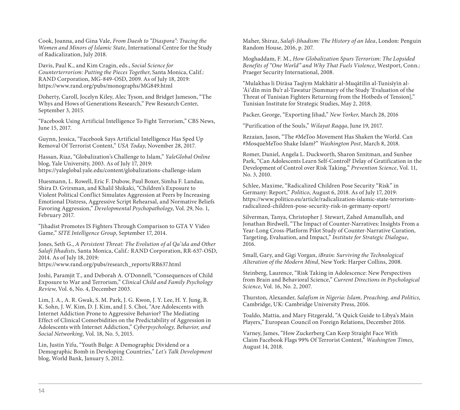Cook, Joanna, and Gina Vale, *From Daesh to "Diaspora": Tracing the Women and Minors of Islamic State*, International Centre for the Study of Radicalization, July 2018.

Davis, Paul K., and Kim Cragin, eds., *Social Science for Counterterrorism: Putting the Pieces Together*, Santa Monica, Calif.: RAND Corporation, MG-849-OSD, 2009. As of July 18, 2019: <https://www.rand.org/pubs/monographs/MG849.html>

Doherty, Caroll, Jocelyn Kiley, Alec Tyson, and Bridget Jameson, "The Whys and Hows of Generations Research," Pew Research Center, September 3, 2015.

"Facebook Using Artificial Intelligence To Fight Terrorism," CBS News, June 15, 2017.

Guynn, Jessica, "Facebook Says Artificial Intelligence Has Sped Up Removal Of Terrorist Content," *USA Today*, November 28, 2017.

Hassan, Riaz, "Globalization's Challenge to Islam," *YaleGlobal Online* blog, Yale University, 2003. As of July 17, 2019: <https://yaleglobal.yale.edu/content/globalizations-challenge-islam>

Huesmann, L. Rowell, Eric F. Dubow, Paul Boxer, Simha F. Landau, Shira D. Gvirsman, and Khalil Shikaki, "Children's Exposure to Violent Political Conflict Simulates Aggression at Peers by Increasing Emotional Distress, Aggressive Script Rehearsal, and Normative Beliefs Favoring Aggression," *Developmental Psychopathology*, Vol. 29, No. 1, February 2017.

"Jihadist Promotes IS Fighters Through Comparison to GTA V Video Game," *SITE Intelligence Group*, September 17, 2014.

Jones, Seth G., *A Persistent Threat: The Evolution of al Qa'ida and Other Salafi Jihadists*, Santa Monica, Calif.: RAND Corporation, RR-637-OSD, 2014. As of July 18, 2019: [https://www.rand.org/pubs/research\\_reports/RR637.html](https://www.rand.org/pubs/research_reports/RR637.html)

Joshi, Paramjit T., and Deborah A. O'Donnell, "Consequences of Child Exposure to War and Terrorism," *Clinical Child and Family Psychology Review*, Vol. 6, No. 4, December 2003.

Lim, J. A., A. R. Gwak, S. M. Park, J. G. Kwon, J. Y. Lee, H. Y. Jung, B. K. Sohn, J. W. Kim, D. J. Kim, and J. S. Choi, "Are Adolescents with Internet Addiction Prone to Aggressive Behavior? The Mediating Effect of Clinical Comorbidities on the Predictability of Aggression in Adolescents with Internet Addiction," *Cyberpsychology, Behavior, and Social Networking*, Vol. 18, No. 5, 2015.

Lin, Justin Yifu, "Youth Bulge: A Demographic Dividend or a Demographic Bomb in Developing Countries," *Let's Talk Development*  blog, World Bank, January 5, 2012.

Maher, Shiraz, *Salafi-Jihadism: The History of an Idea*, London: Penguin Random House, 2016, p. 207.

Moghaddam, F. M., *How Globalization Spurs Terrorism: The Lopsided Benefits of "One World" and Why That Fuels Violence*, Westport, Conn.: Praeger Security International, 2008.

"Mulakhas li Dirāsa Taqīym Makhātir al-Muqātilīn al-Tunisīyīn al- 'Āi'dīn min Bu'r al-Tawatur [Summary of the Study 'Evaluation of the Threat of Tunisian Fighters Returning from the Hotbeds of Tension]," Tunisian Institute for Strategic Studies, May 2, 2018.

Packer, George, "Exporting Jihad," *New Yorker*, March 28, 2016

"Purification of the Souls," *Wilayat Raqqa*, June 19, 2017.

Rezaian, Jason, "The #MeToo Movement Has Shaken the World. Can #MosqueMeToo Shake Islam?" *Washington Post*, March 8, 2018.

Romer, Daniel, Angela L. Duckworth, Sharon Sznitman, and Sunhee Park, "Can Adolescents Learn Self-Control? Delay of Gratification in the Development of Control over Risk Taking," *Prevention Science*, Vol. 11, No. 3, 2010.

Schlee, Maxime, "Radicalized Children Pose Security "Risk" in Germany: Report," *Politico*, August 6, 2018. As of July 17, 2019: [https://www.politico.eu/article/radicalization-islamic-state-terrorism](https://www.politico.eu/article/radicalization-islamic-state-terrorism-radicalized-children-pose-security-risk-in-germany-report/)radicalized-children-pose-security-risk-in-germany-report/

Silverman, Tanya, Christopher J. Stewart, Zahed Amanullah, and Jonathan Birdwell, "The Impact of Counter-Narratives: Insights From a Year-Long Cross-Platform Pilot Study of Counter-Narrative Curation, Targeting, Evaluation, and Impact," *Institute for Strategic Dialogue*, 2016.

Small, Gary, and Gigi Vorgan, *iBrain: Surviving the Technological Alteration of the Modern Mind*, New York: Harper Collins, 2008.

Steinberg, Laurence, "Risk Taking in Adolescence: New Perspectives from Brain and Behavioral Science," *Current Directions in Psychological Science*, Vol. 16, No. 2, 2007.

Thurston, Alexander, *Salafism in Nigeria: Islam, Preaching, and Politics*, Cambridge, UK: Cambridge University Press, 2016.

Toaldo, Mattia, and Mary Fitzgerald, "A Quick Guide to Libya's Main Players," European Council on Foreign Relations, December 2016.

Varney, James, "How Zuckerberg Can Keep Straight Face With Claim Facebook Flags 99% Of Terrorist Content," *Washington Times*, August 14, 2018.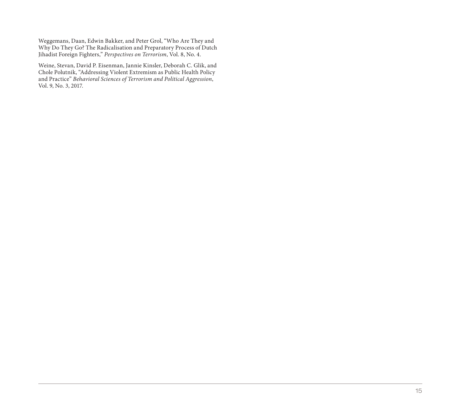Weggemans, Daan, Edwin Bakker, and Peter Grol, "Who Are They and Why Do They Go? The Radicalisation and Preparatory Process of Dutch Jihadist Foreign Fighters," Perspectives on Terrorism, Vol. 8, No. 4.

Weine, Stevan, David P. Eisenman, Jannie Kinsler, Deborah C. Glik, and Chole Polutnik, "Addressing Violent Extremism as Public Health Policy and Practice" *Behavioral Sciences of Terrorism and Political Aggression*, Vol. 9, No. 3, 2017.